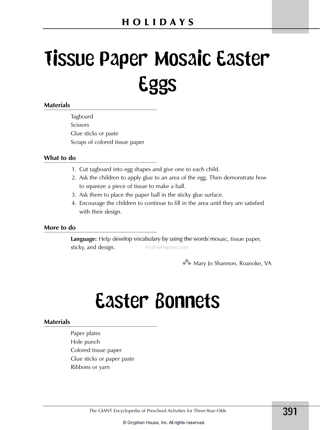# Tissue Paper Mosaic Easter Eggs

### **Materials**

Tagboard **Scissors** Glue sticks or paste Scraps of colored tissue paper

### **What to do**

- 1. Cut tagboard into egg shapes and give one to each child.
- 2. Ask the children to apply glue to an area of the egg. Then demonstrate how to squeeze a piece of tissue to make a ball.
- 3. Ask them to place the paper ball in the sticky glue surface.
- 4. Encourage the children to continue to fill in the area until they are satisfied with their design.

### **More to do**

Language: Help develop vocabulary by using the words mosaic, tissue paper, ProFilePlanner.com sticky, and design.

**3** Mary Jo Shannon, Roanoke, VA

### Easter Bonnets

### **Materials**

Paper plates Hole punch Colored tissue paper Glue sticks or paper paste Ribbons or yarn